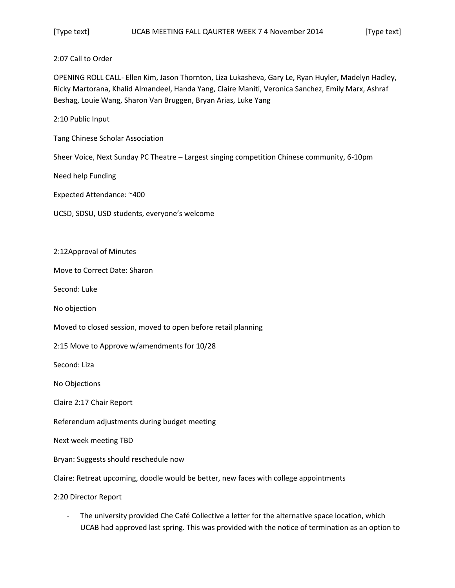## 2:07 Call to Order

OPENING ROLL CALL- Ellen Kim, Jason Thornton, Liza Lukasheva, Gary Le, Ryan Huyler, Madelyn Hadley, Ricky Martorana, Khalid Almandeel, Handa Yang, Claire Maniti, Veronica Sanchez, Emily Marx, Ashraf Beshag, Louie Wang, Sharon Van Bruggen, Bryan Arias, Luke Yang

2:10 Public Input

Tang Chinese Scholar Association

Sheer Voice, Next Sunday PC Theatre – Largest singing competition Chinese community, 6-10pm

Need help Funding

Expected Attendance: ~400

UCSD, SDSU, USD students, everyone's welcome

2:12Approval of Minutes

Move to Correct Date: Sharon

Second: Luke

No objection

Moved to closed session, moved to open before retail planning

2:15 Move to Approve w/amendments for 10/28

Second: Liza

No Objections

Claire 2:17 Chair Report

Referendum adjustments during budget meeting

Next week meeting TBD

Bryan: Suggests should reschedule now

Claire: Retreat upcoming, doodle would be better, new faces with college appointments

2:20 Director Report

- The university provided Che Café Collective a letter for the alternative space location, which UCAB had approved last spring. This was provided with the notice of termination as an option to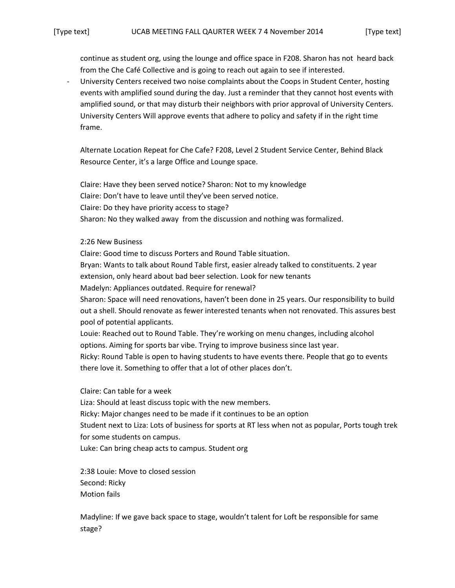continue as student org, using the lounge and office space in F208. Sharon has not heard back from the Che Café Collective and is going to reach out again to see if interested.

University Centers received two noise complaints about the Coops in Student Center, hosting events with amplified sound during the day. Just a reminder that they cannot host events with amplified sound, or that may disturb their neighbors with prior approval of University Centers. University Centers Will approve events that adhere to policy and safety if in the right time frame.

Alternate Location Repeat for Che Cafe? F208, Level 2 Student Service Center, Behind Black Resource Center, it's a large Office and Lounge space.

Claire: Have they been served notice? Sharon: Not to my knowledge Claire: Don't have to leave until they've been served notice. Claire: Do they have priority access to stage? Sharon: No they walked away from the discussion and nothing was formalized.

2:26 New Business

Claire: Good time to discuss Porters and Round Table situation. Bryan: Wants to talk about Round Table first, easier already talked to constituents. 2 year extension, only heard about bad beer selection. Look for new tenants Madelyn: Appliances outdated. Require for renewal? Sharon: Space will need renovations, haven't been done in 25 years. Our responsibility to build out a shell. Should renovate as fewer interested tenants when not renovated. This assures best pool of potential applicants. Louie: Reached out to Round Table. They're working on menu changes, including alcohol options. Aiming for sports bar vibe. Trying to improve business since last year. Ricky: Round Table is open to having students to have events there. People that go to events there love it. Something to offer that a lot of other places don't.

Claire: Can table for a week

Liza: Should at least discuss topic with the new members.

Ricky: Major changes need to be made if it continues to be an option

Student next to Liza: Lots of business for sports at RT less when not as popular, Ports tough trek for some students on campus.

Luke: Can bring cheap acts to campus. Student org

2:38 Louie: Move to closed session Second: Ricky Motion fails

Madyline: If we gave back space to stage, wouldn't talent for Loft be responsible for same stage?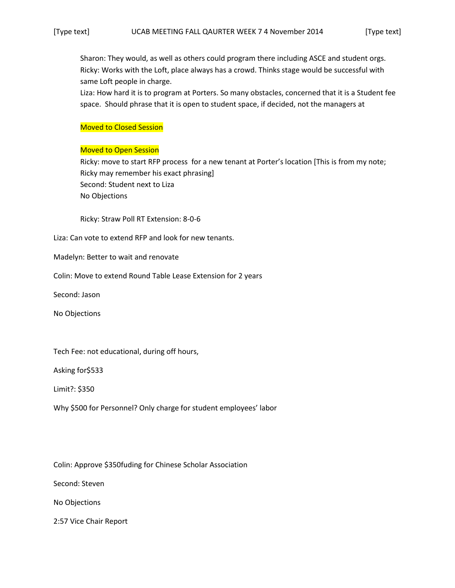Sharon: They would, as well as others could program there including ASCE and student orgs. Ricky: Works with the Loft, place always has a crowd. Thinks stage would be successful with same Loft people in charge.

Liza: How hard it is to program at Porters. So many obstacles, concerned that it is a Student fee space. Should phrase that it is open to student space, if decided, not the managers at

## Moved to Closed Session

## Moved to Open Session

Ricky: move to start RFP process for a new tenant at Porter's location [This is from my note; Ricky may remember his exact phrasing] Second: Student next to Liza No Objections

Ricky: Straw Poll RT Extension: 8-0-6

Liza: Can vote to extend RFP and look for new tenants.

Madelyn: Better to wait and renovate

Colin: Move to extend Round Table Lease Extension for 2 years

Second: Jason

No Objections

Tech Fee: not educational, during off hours,

Asking for\$533

Limit?: \$350

Why \$500 for Personnel? Only charge for student employees' labor

Colin: Approve \$350fuding for Chinese Scholar Association

Second: Steven

No Objections

2:57 Vice Chair Report